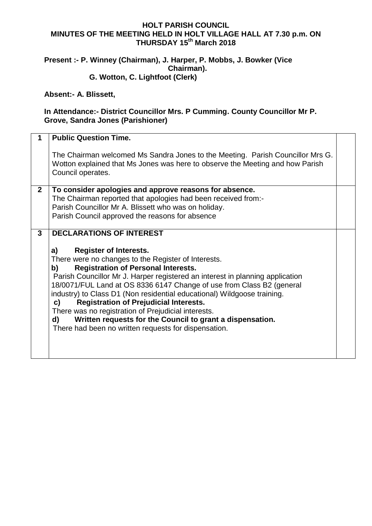## **HOLT PARISH COUNCIL MINUTES OF THE MEETING HELD IN HOLT VILLAGE HALL AT 7.30 p.m. ON THURSDAY 15 th March 2018**

## **Present :- P. Winney (Chairman), J. Harper, P. Mobbs, J. Bowker (Vice Chairman). G. Wotton, C. Lightfoot (Clerk)**

## **Absent:- A. Blissett,**

## **In Attendance:- District Councillor Mrs. P Cumming. County Councillor Mr P. Grove, Sandra Jones (Parishioner)**

|                | <b>Public Question Time.</b>                                                                                                                                                         |  |
|----------------|--------------------------------------------------------------------------------------------------------------------------------------------------------------------------------------|--|
|                |                                                                                                                                                                                      |  |
|                | The Chairman welcomed Ms Sandra Jones to the Meeting. Parish Councillor Mrs G.<br>Wotton explained that Ms Jones was here to observe the Meeting and how Parish<br>Council operates. |  |
| $\overline{2}$ | To consider apologies and approve reasons for absence.                                                                                                                               |  |
|                | The Chairman reported that apologies had been received from:-                                                                                                                        |  |
|                | Parish Councillor Mr A. Blissett who was on holiday.                                                                                                                                 |  |
|                | Parish Council approved the reasons for absence                                                                                                                                      |  |
|                |                                                                                                                                                                                      |  |
| 3              | <b>DECLARATIONS OF INTEREST</b>                                                                                                                                                      |  |
|                |                                                                                                                                                                                      |  |
|                | <b>Register of Interests.</b><br>a)                                                                                                                                                  |  |
|                | There were no changes to the Register of Interests.                                                                                                                                  |  |
|                | <b>Registration of Personal Interests.</b><br>b)                                                                                                                                     |  |
|                | Parish Councillor Mr J. Harper registered an interest in planning application                                                                                                        |  |
|                | 18/0071/FUL Land at OS 8336 6147 Change of use from Class B2 (general                                                                                                                |  |
|                | industry) to Class D1 (Non residential educational) Wildgoose training.                                                                                                              |  |
|                | <b>Registration of Prejudicial Interests.</b><br>C)                                                                                                                                  |  |
|                | There was no registration of Prejudicial interests.                                                                                                                                  |  |
|                | Written requests for the Council to grant a dispensation.<br>d)                                                                                                                      |  |
|                | There had been no written requests for dispensation.                                                                                                                                 |  |
|                |                                                                                                                                                                                      |  |
|                |                                                                                                                                                                                      |  |
|                |                                                                                                                                                                                      |  |
|                |                                                                                                                                                                                      |  |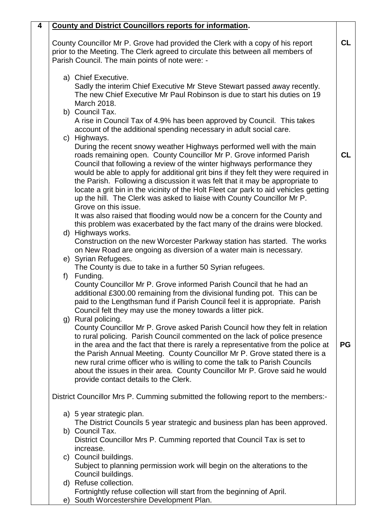| 4 | <b>County and District Councillors reports for information.</b>                                                                                                                                                                                                                                                                                                                                                                                                                                                                                                                                                                                                                                                                                                                                                                                                                                                                                                                                                                                          |    |  |  |  |
|---|----------------------------------------------------------------------------------------------------------------------------------------------------------------------------------------------------------------------------------------------------------------------------------------------------------------------------------------------------------------------------------------------------------------------------------------------------------------------------------------------------------------------------------------------------------------------------------------------------------------------------------------------------------------------------------------------------------------------------------------------------------------------------------------------------------------------------------------------------------------------------------------------------------------------------------------------------------------------------------------------------------------------------------------------------------|----|--|--|--|
|   | County Councillor Mr P. Grove had provided the Clerk with a copy of his report<br>prior to the Meeting. The Clerk agreed to circulate this between all members of<br>Parish Council. The main points of note were: -                                                                                                                                                                                                                                                                                                                                                                                                                                                                                                                                                                                                                                                                                                                                                                                                                                     |    |  |  |  |
|   | a) Chief Executive.<br>Sadly the interim Chief Executive Mr Steve Stewart passed away recently.<br>The new Chief Executive Mr Paul Robinson is due to start his duties on 19<br>March 2018.<br>b) Council Tax.<br>A rise in Council Tax of 4.9% has been approved by Council. This takes<br>account of the additional spending necessary in adult social care.<br>c) Highways.<br>During the recent snowy weather Highways performed well with the main<br>roads remaining open. County Councillor Mr P. Grove informed Parish<br>Council that following a review of the winter highways performance they<br>would be able to apply for additional grit bins if they felt they were required in<br>the Parish. Following a discussion it was felt that it may be appropriate to<br>locate a grit bin in the vicinity of the Holt Fleet car park to aid vehicles getting<br>up the hill. The Clerk was asked to liaise with County Councillor Mr P.<br>Grove on this issue.<br>It was also raised that flooding would now be a concern for the County and | CL |  |  |  |
|   | this problem was exacerbated by the fact many of the drains were blocked.<br>d) Highways works.<br>Construction on the new Worcester Parkway station has started. The works<br>on New Road are ongoing as diversion of a water main is necessary.<br>e) Syrian Refugees.<br>The County is due to take in a further 50 Syrian refugees.                                                                                                                                                                                                                                                                                                                                                                                                                                                                                                                                                                                                                                                                                                                   |    |  |  |  |
|   | Funding.<br>f)<br>County Councillor Mr P. Grove informed Parish Council that he had an<br>additional £300.00 remaining from the divisional funding pot. This can be<br>paid to the Lengthsman fund if Parish Council feel it is appropriate. Parish<br>Council felt they may use the money towards a litter pick.                                                                                                                                                                                                                                                                                                                                                                                                                                                                                                                                                                                                                                                                                                                                        |    |  |  |  |
|   | g) Rural policing.<br>County Councillor Mr P. Grove asked Parish Council how they felt in relation<br>to rural policing. Parish Council commented on the lack of police presence<br>in the area and the fact that there is rarely a representative from the police at<br>the Parish Annual Meeting. County Councillor Mr P. Grove stated there is a<br>new rural crime officer who is willing to come the talk to Parish Councils<br>about the issues in their area. County Councillor Mr P. Grove said he would<br>provide contact details to the Clerk.                                                                                                                                                                                                                                                                                                                                                                                                                                                                                                | PG |  |  |  |
|   | District Councillor Mrs P. Cumming submitted the following report to the members:-                                                                                                                                                                                                                                                                                                                                                                                                                                                                                                                                                                                                                                                                                                                                                                                                                                                                                                                                                                       |    |  |  |  |
|   | a) 5 year strategic plan.<br>The District Councils 5 year strategic and business plan has been approved.                                                                                                                                                                                                                                                                                                                                                                                                                                                                                                                                                                                                                                                                                                                                                                                                                                                                                                                                                 |    |  |  |  |
|   | b) Council Tax.<br>District Councillor Mrs P. Cumming reported that Council Tax is set to<br>increase.                                                                                                                                                                                                                                                                                                                                                                                                                                                                                                                                                                                                                                                                                                                                                                                                                                                                                                                                                   |    |  |  |  |
|   | c) Council buildings.<br>Subject to planning permission work will begin on the alterations to the<br>Council buildings.                                                                                                                                                                                                                                                                                                                                                                                                                                                                                                                                                                                                                                                                                                                                                                                                                                                                                                                                  |    |  |  |  |
|   | d) Refuse collection.<br>Fortnightly refuse collection will start from the beginning of April.<br>e) South Worcestershire Development Plan.                                                                                                                                                                                                                                                                                                                                                                                                                                                                                                                                                                                                                                                                                                                                                                                                                                                                                                              |    |  |  |  |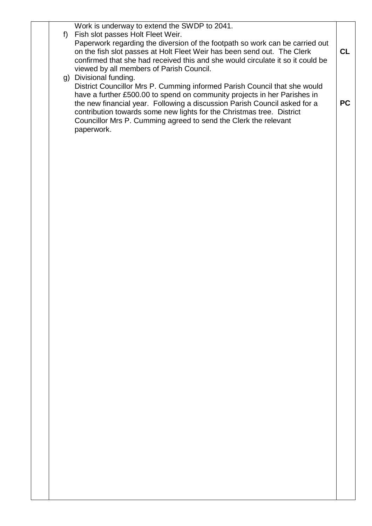Work is underway to extend the SWDP to 2041.

- f) Fish slot passes Holt Fleet Weir. Paperwork regarding the diversion of the footpath so work can be carried out on the fish slot passes at Holt Fleet Weir has been send out. The Clerk confirmed that she had received this and she would circulate it so it could be viewed by all members of Parish Council. **CL**
- g) Divisional funding. District Councillor Mrs P. Cumming informed Parish Council that she would have a further £500.00 to spend on community projects in her Parishes in the new financial year. Following a discussion Parish Council asked for a contribution towards some new lights for the Christmas tree. District Councillor Mrs P. Cumming agreed to send the Clerk the relevant paperwork.

**PC**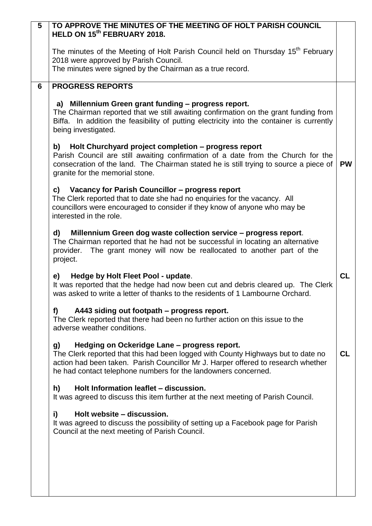| $\overline{5}$ | TO APPROVE THE MINUTES OF THE MEETING OF HOLT PARISH COUNCIL<br>HELD ON 15 <sup>th</sup> FEBRUARY 2018.                                                                                                                                                                                       |           |
|----------------|-----------------------------------------------------------------------------------------------------------------------------------------------------------------------------------------------------------------------------------------------------------------------------------------------|-----------|
|                | The minutes of the Meeting of Holt Parish Council held on Thursday 15 <sup>th</sup> February<br>2018 were approved by Parish Council.                                                                                                                                                         |           |
|                | The minutes were signed by the Chairman as a true record.                                                                                                                                                                                                                                     |           |
| 6              | <b>PROGRESS REPORTS</b>                                                                                                                                                                                                                                                                       |           |
|                | a) Millennium Green grant funding - progress report.<br>The Chairman reported that we still awaiting confirmation on the grant funding from<br>Biffa. In addition the feasibility of putting electricity into the container is currently<br>being investigated.                               |           |
|                | b)<br>Holt Churchyard project completion - progress report<br>Parish Council are still awaiting confirmation of a date from the Church for the<br>consecration of the land. The Chairman stated he is still trying to source a piece of<br>granite for the memorial stone.                    | <b>PW</b> |
|                | Vacancy for Parish Councillor – progress report<br>c)<br>The Clerk reported that to date she had no enquiries for the vacancy. All<br>councillors were encouraged to consider if they know of anyone who may be<br>interested in the role.                                                    |           |
|                | Millennium Green dog waste collection service - progress report.<br>d)<br>The Chairman reported that he had not be successful in locating an alternative<br>The grant money will now be reallocated to another part of the<br>provider.<br>project.                                           |           |
|                | Hedge by Holt Fleet Pool - update.<br>e)<br>It was reported that the hedge had now been cut and debris cleared up. The Clerk<br>was asked to write a letter of thanks to the residents of 1 Lambourne Orchard.                                                                                | CL        |
|                | A443 siding out footpath – progress report.<br>f)<br>The Clerk reported that there had been no further action on this issue to the<br>adverse weather conditions.                                                                                                                             |           |
|                | Hedging on Ockeridge Lane - progress report.<br>g)<br>The Clerk reported that this had been logged with County Highways but to date no<br>action had been taken. Parish Councillor Mr J. Harper offered to research whether<br>he had contact telephone numbers for the landowners concerned. | <b>CL</b> |
|                | h)<br>Holt Information leaflet - discussion.<br>It was agreed to discuss this item further at the next meeting of Parish Council.                                                                                                                                                             |           |
|                | Holt website - discussion.<br>i)<br>It was agreed to discuss the possibility of setting up a Facebook page for Parish<br>Council at the next meeting of Parish Council.                                                                                                                       |           |
|                |                                                                                                                                                                                                                                                                                               |           |
|                |                                                                                                                                                                                                                                                                                               |           |
|                |                                                                                                                                                                                                                                                                                               |           |
|                |                                                                                                                                                                                                                                                                                               |           |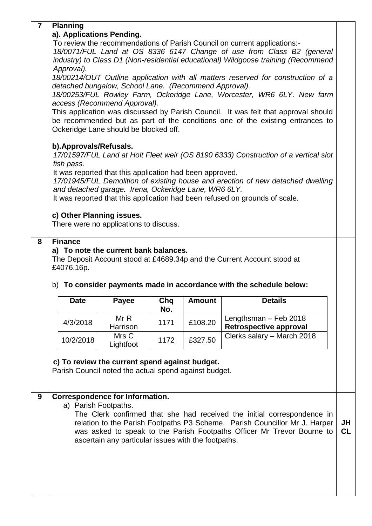|   | <b>Planning</b>                                                                                                  |                                                                                                |      |               |                                                                                     |           |  |  |
|---|------------------------------------------------------------------------------------------------------------------|------------------------------------------------------------------------------------------------|------|---------------|-------------------------------------------------------------------------------------|-----------|--|--|
|   | a). Applications Pending.                                                                                        |                                                                                                |      |               |                                                                                     |           |  |  |
|   | To review the recommendations of Parish Council on current applications:-                                        |                                                                                                |      |               |                                                                                     |           |  |  |
|   | 18/0071/FUL Land at OS 8336 6147 Change of use from Class B2 (general                                            |                                                                                                |      |               |                                                                                     |           |  |  |
|   | industry) to Class D1 (Non-residential educational) Wildgoose training (Recommend                                |                                                                                                |      |               |                                                                                     |           |  |  |
|   |                                                                                                                  | Approval).<br>18/00214/OUT Outline application with all matters reserved for construction of a |      |               |                                                                                     |           |  |  |
|   | detached bungalow, School Lane. (Recommend Approval).                                                            |                                                                                                |      |               |                                                                                     |           |  |  |
|   |                                                                                                                  |                                                                                                |      |               | 18/00253/FUL Rowley Farm, Ockeridge Lane, Worcester, WR6 6LY. New farm              |           |  |  |
|   | access (Recommend Approval).                                                                                     |                                                                                                |      |               |                                                                                     |           |  |  |
|   |                                                                                                                  |                                                                                                |      |               | This application was discussed by Parish Council. It was felt that approval should  |           |  |  |
|   |                                                                                                                  |                                                                                                |      |               | be recommended but as part of the conditions one of the existing entrances to       |           |  |  |
|   | Ockeridge Lane should be blocked off.                                                                            |                                                                                                |      |               |                                                                                     |           |  |  |
|   | b). Approvals/Refusals.                                                                                          |                                                                                                |      |               |                                                                                     |           |  |  |
|   |                                                                                                                  |                                                                                                |      |               | 17/01597/FUL Land at Holt Fleet weir (OS 8190 6333) Construction of a vertical slot |           |  |  |
|   | fish pass.                                                                                                       |                                                                                                |      |               |                                                                                     |           |  |  |
|   | It was reported that this application had been approved.                                                         |                                                                                                |      |               | 17/01945/FUL Demolition of existing house and erection of new detached dwelling     |           |  |  |
|   | and detached garage. Irena, Ockeridge Lane, WR6 6LY.                                                             |                                                                                                |      |               |                                                                                     |           |  |  |
|   |                                                                                                                  |                                                                                                |      |               | It was reported that this application had been refused on grounds of scale.         |           |  |  |
|   |                                                                                                                  |                                                                                                |      |               |                                                                                     |           |  |  |
|   | c) Other Planning issues.                                                                                        |                                                                                                |      |               |                                                                                     |           |  |  |
|   | There were no applications to discuss.                                                                           |                                                                                                |      |               |                                                                                     |           |  |  |
| 8 | <b>Finance</b>                                                                                                   |                                                                                                |      |               |                                                                                     |           |  |  |
|   |                                                                                                                  |                                                                                                |      |               |                                                                                     |           |  |  |
|   | a) To note the current bank balances.<br>The Deposit Account stood at £4689.34p and the Current Account stood at |                                                                                                |      |               |                                                                                     |           |  |  |
|   |                                                                                                                  |                                                                                                |      |               |                                                                                     |           |  |  |
|   | £4076.16p.                                                                                                       |                                                                                                |      |               |                                                                                     |           |  |  |
|   |                                                                                                                  |                                                                                                |      |               |                                                                                     |           |  |  |
|   |                                                                                                                  |                                                                                                |      |               | b) To consider payments made in accordance with the schedule below:                 |           |  |  |
|   | Date                                                                                                             | <b>Payee</b>                                                                                   | Chq  | <b>Amount</b> | <b>Details</b>                                                                      |           |  |  |
|   |                                                                                                                  |                                                                                                | No.  |               |                                                                                     |           |  |  |
|   | 4/3/2018                                                                                                         | MrR                                                                                            | 1171 | £108.20       | Lengthsman - Feb 2018                                                               |           |  |  |
|   |                                                                                                                  | Harrison                                                                                       |      |               | <b>Retrospective approval</b>                                                       |           |  |  |
|   | 10/2/2018                                                                                                        | Mrs C                                                                                          | 1172 | £327.50       | Clerks salary - March 2018                                                          |           |  |  |
|   |                                                                                                                  | Lightfoot                                                                                      |      |               |                                                                                     |           |  |  |
|   | c) To review the current spend against budget.                                                                   |                                                                                                |      |               |                                                                                     |           |  |  |
|   | Parish Council noted the actual spend against budget.                                                            |                                                                                                |      |               |                                                                                     |           |  |  |
|   |                                                                                                                  |                                                                                                |      |               |                                                                                     |           |  |  |
|   |                                                                                                                  |                                                                                                |      |               |                                                                                     |           |  |  |
| 9 | <b>Correspondence for Information.</b><br>a) Parish Footpaths.                                                   |                                                                                                |      |               |                                                                                     |           |  |  |
|   |                                                                                                                  |                                                                                                |      |               | The Clerk confirmed that she had received the initial correspondence in             |           |  |  |
|   |                                                                                                                  |                                                                                                |      |               | relation to the Parish Footpaths P3 Scheme. Parish Councillor Mr J. Harper          | JH        |  |  |
|   |                                                                                                                  |                                                                                                |      |               | was asked to speak to the Parish Footpaths Officer Mr Trevor Bourne to              | <b>CL</b> |  |  |
|   |                                                                                                                  | ascertain any particular issues with the footpaths.                                            |      |               |                                                                                     |           |  |  |
|   |                                                                                                                  |                                                                                                |      |               |                                                                                     |           |  |  |
|   |                                                                                                                  |                                                                                                |      |               |                                                                                     |           |  |  |
|   |                                                                                                                  |                                                                                                |      |               |                                                                                     |           |  |  |
|   |                                                                                                                  |                                                                                                |      |               |                                                                                     |           |  |  |